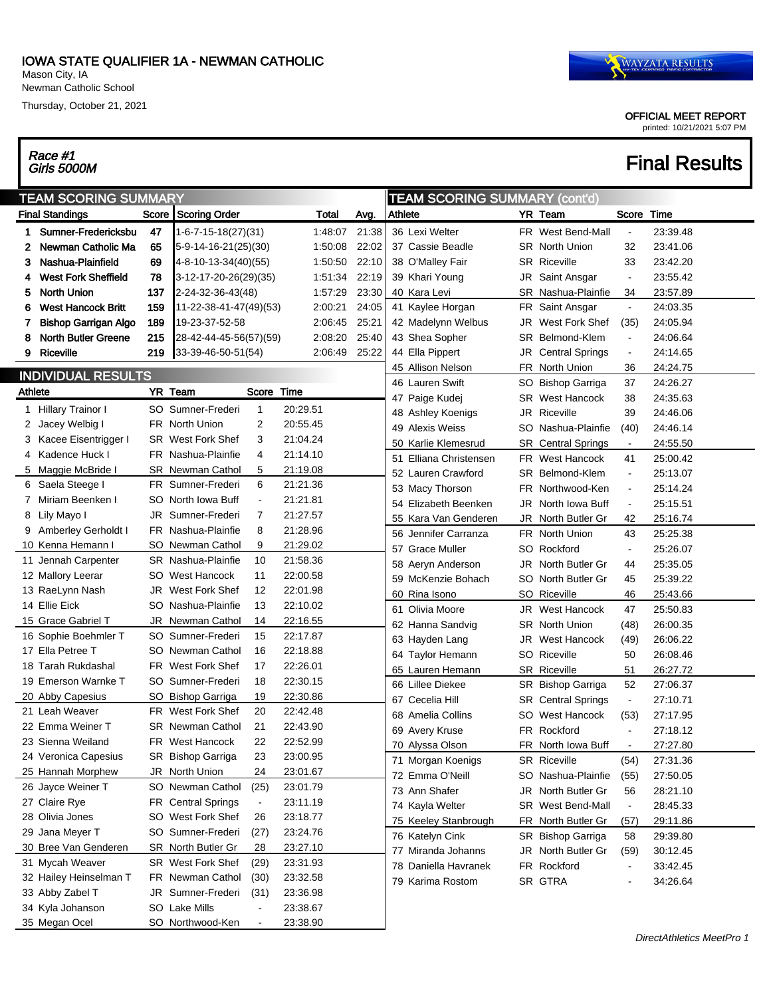#### IOWA STATE QUALIFIER 1A - NEWMAN CATHOLIC

Mason City, IA Newman Catholic School

Thursday, October 21, 2021

# Race #1<br>Girls 5000M

#### OFFICIAL MEET REPORT printed: 10/21/2021 5:07 PM

## **Final Results**

| <b>Final Standings</b><br>Score Scoring Order<br>Total<br>Avg.<br>YR Team<br>Score<br>Time<br>Athlete<br>Sumner-Fredericksbu<br>47<br>21:38<br>36 Lexi Welter<br>23:39.48<br>$1 - 6 - 7 - 15 - 18(27)(31)$<br>1:48:07<br>FR West Bend-Mall<br>1.<br>Newman Catholic Ma<br>65<br>1.50.08<br>22:02<br>37 Cassie Beadle<br><b>SR</b> North Union<br>32<br>23:41.06<br>5-9-14-16-21(25)(30)<br>2<br>Nashua-Plainfield<br>69<br>22:10<br>1.50.50<br>38 O'Malley Fair<br><b>SR Riceville</b><br>33<br>23:42.20<br>4-8-10-13-34(40)(55)<br>з<br>78<br><b>West Fork Sheffield</b><br>3-12-17-20-26(29)(35)<br>1.51.34<br>22:19<br>39 Khari Young<br>JR<br>23:55.42<br>Saint Ansgar<br>$\overline{\phantom{a}}$<br>137<br>23:30<br><b>North Union</b><br>2-24-32-36-43(48)<br>1.57.29<br>SR Nashua-Plainfie<br>34<br>23:57.89<br>40 Kara Levi<br>5<br>24:05<br><b>West Hancock Britt</b><br>159<br>11-22-38-41-47(49)(53)<br>2:00:21<br>41 Kaylee Horgan<br>24:03.35<br>6<br>FR Saint Ansgar<br>$\blacksquare$<br>189<br><b>Bishop Garrigan Algo</b><br>19-23-37-52-58<br>2:06:45<br>25:21<br>42 Madelynn Welbus<br>West Fork Shef<br>(35)<br>24:05.94<br>JR<br>7.<br>215<br>25:40<br><b>North Butler Greene</b><br>28-42-44-45-56(57)(59)<br>2:08:20<br>43 Shea Sopher<br>Belmond-Klem<br>SR<br>24:06.64<br>8<br>$\blacksquare$<br><b>Riceville</b><br>219<br>33-39-46-50-51(54)<br>2:06:49<br>25:22<br>44 Ella Pippert<br>JR<br>9<br><b>Central Springs</b><br>24:14.65<br>$\blacksquare$<br>FR North Union<br>36<br>24:24.75<br>45 Allison Nelson<br><b>INDIVIDUAL RESULTS</b><br>46 Lauren Swift<br>SO Bishop Garriga<br>37<br>24:26.27<br>YR Team<br>Athlete<br>Score<br>Time<br>47 Paige Kudej<br>West Hancock<br>38<br>24:35.63<br>SR<br>20:29.51<br>1 Hillary Trainor I<br>SO Sumner-Frederi<br>$\overline{1}$<br>JR<br>Riceville<br>39<br>24:46.06<br>48 Ashley Koenigs<br>FR North Union<br>2<br>20:55.45<br>Jacey Welbig I<br>2<br>49 Alexis Weiss<br>SO<br>Nashua-Plainfie<br>(40)<br>24:46.14<br>3<br>21:04.24<br>3 Kacee Eisentrigger I<br><b>SR</b> West Fork Shef<br>50 Karlie Klemesrud<br><b>SR</b> Central Springs<br>24:55.50<br>$\blacksquare$<br>4 Kadence Huck I<br>FR Nashua-Plainfie<br>21:14.10<br>4<br>51 Elliana Christensen<br>FR West Hancock<br>41<br>25:00.42<br>21:19.08<br>5 Maggie McBride I<br><b>SR</b> Newman Cathol<br>5<br>52 Lauren Crawford<br>SR Belmond-Klem<br>25:13.07<br>$\blacksquare$<br>6 Saela Steege I<br><b>FR</b> Sumner-Frederi<br>6<br>21:21.36<br>53 Macy Thorson<br>FR.<br>Northwood-Ken<br>25:14.24<br>$\blacksquare$<br>7 Miriam Beenken I<br>21:21.81<br>SO North Iowa Buff<br>$\blacksquare$<br>54 Elizabeth Beenken<br>JR<br>North Iowa Buff<br>25:15.51<br>$\blacksquare$<br>JR Sumner-Frederi<br>21:27.57<br>Lily Mayo I<br>7<br>8<br>55 Kara Van Genderen<br>JR North Butler Gr<br>42<br>25:16.74<br>FR Nashua-Plainfie<br>8<br>21:28.96<br>9 Amberley Gerholdt I<br>56 Jennifer Carranza<br>FR North Union<br>43<br>25:25.38<br>SO Newman Cathol<br>21:29.02<br>10 Kenna Hemann I<br>9<br>57 Grace Muller<br>SO Rockford<br>25:26.07<br>$\blacksquare$<br>11 Jennah Carpenter<br>SR Nashua-Plainfie<br>10<br>21:58.36<br>JR<br>North Butler Gr<br>25:35.05<br>58 Aeryn Anderson<br>44<br>22:00.58<br>12 Mallory Leerar<br>SO West Hancock<br>11<br>59 McKenzie Bohach<br>SO<br>North Butler Gr<br>45<br>25:39.22<br>JR<br>West Fork Shef<br>12<br>22:01.98<br>13 RaeLynn Nash<br>60 Rina Isono<br>SO Riceville<br>46<br>25:43.66<br>14 Ellie Eick<br>SO Nashua-Plainfie<br>13<br>22:10.02<br>61 Olivia Moore<br>JR<br>West Hancock<br>47<br>25:50.83<br>15 Grace Gabriel T<br>JR<br>Newman Cathol<br>14<br>22:16.55<br>62 Hanna Sandvig<br>SR<br>North Union<br>(48)<br>26:00.35<br>16 Sophie Boehmler T<br>SO Sumner-Frederi<br>15<br>22:17.87<br>JR<br>West Hancock<br>(49)<br>26:06.22<br>63 Hayden Lang<br>17 Ella Petree T<br>22:18.88<br>SO Newman Cathol<br>16<br>64 Taylor Hemann<br><b>SO</b> Riceville<br>50<br>26:08.46<br>18 Tarah Rukdashal<br>FR West Fork Shef<br>17<br>22:26.01<br>65 Lauren Hemann<br>SR Riceville<br>26:27.72<br>51<br>19 Emerson Warnke T<br>SO Sumner-Frederi<br>18<br>22:30.15<br>66 Lillee Diekee<br>52<br>27:06.37<br>SR Bishop Garriga<br>20 Abby Capesius<br>19<br>22:30.86<br>SO.<br><b>Bishop Garriga</b><br>67 Cecelia Hill<br><b>SR</b> Central Springs<br>27:10.71<br>$\blacksquare$<br>21 Leah Weaver<br>FR West Fork Shef<br>20<br>22:42.48<br>68 Amelia Collins<br>West Hancock<br>(53)<br>SO<br>27:17.95<br>22 Emma Weiner T<br>21<br>22:43.90<br><b>SR</b> Newman Cathol<br>69 Avery Kruse<br>FR.<br>Rockford<br>27:18.12<br>$\blacksquare$<br>22<br>22:52.99<br>23 Sienna Weiland<br>FR West Hancock<br>70 Alyssa Olson<br>FR North Iowa Buff<br>27:27.80<br>24 Veronica Capesius<br>SR Bishop Garriga<br>23<br>23:00.95<br>71 Morgan Koenigs<br>SR Riceville<br>27:31.36<br>(54)<br>25 Hannah Morphew<br>JR North Union<br>24<br>23:01.67<br>72 Emma O'Neill<br>SO Nashua-Plainfie<br>27:50.05<br>(55)<br>26 Jayce Weiner T<br>SO Newman Cathol<br>23:01.79<br>(25)<br>73 Ann Shafer<br>JR North Butler Gr<br>56<br>28:21.10<br>23:11.19<br>27 Claire Rye<br>FR Central Springs<br>$\blacksquare$<br>74 Kayla Welter<br>SR West Bend-Mall<br>28:45.33<br>$\blacksquare$<br>28 Olivia Jones<br>SO West Fork Shef<br>23:18.77<br>26<br>29:11.86<br>75 Keeley Stanbrough<br>FR North Butler Gr<br>(57)<br>29 Jana Meyer T<br>23:24.76<br>SO Sumner-Frederi<br>(27)<br>SR Bishop Garriga<br>29:39.80<br>76 Katelyn Cink<br>58<br>SR North Butler Gr<br>23:27.10<br>30 Bree Van Genderen<br>28<br>77 Miranda Johanns<br>JR North Butler Gr<br>(59)<br>30:12.45<br>31 Mycah Weaver<br>SR West Fork Shef<br>(29)<br>23:31.93<br>78 Daniella Havranek<br>FR Rockford<br>33:42.45<br>$\blacksquare$ | <b>TEAM SCORING SUMMARY</b> |  |  |  |  |  | <b>TEAM SCORING SUMMARY (cont'd)</b> |  |  |  |  |  |
|-----------------------------------------------------------------------------------------------------------------------------------------------------------------------------------------------------------------------------------------------------------------------------------------------------------------------------------------------------------------------------------------------------------------------------------------------------------------------------------------------------------------------------------------------------------------------------------------------------------------------------------------------------------------------------------------------------------------------------------------------------------------------------------------------------------------------------------------------------------------------------------------------------------------------------------------------------------------------------------------------------------------------------------------------------------------------------------------------------------------------------------------------------------------------------------------------------------------------------------------------------------------------------------------------------------------------------------------------------------------------------------------------------------------------------------------------------------------------------------------------------------------------------------------------------------------------------------------------------------------------------------------------------------------------------------------------------------------------------------------------------------------------------------------------------------------------------------------------------------------------------------------------------------------------------------------------------------------------------------------------------------------------------------------------------------------------------------------------------------------------------------------------------------------------------------------------------------------------------------------------------------------------------------------------------------------------------------------------------------------------------------------------------------------------------------------------------------------------------------------------------------------------------------------------------------------------------------------------------------------------------------------------------------------------------------------------------------------------------------------------------------------------------------------------------------------------------------------------------------------------------------------------------------------------------------------------------------------------------------------------------------------------------------------------------------------------------------------------------------------------------------------------------------------------------------------------------------------------------------------------------------------------------------------------------------------------------------------------------------------------------------------------------------------------------------------------------------------------------------------------------------------------------------------------------------------------------------------------------------------------------------------------------------------------------------------------------------------------------------------------------------------------------------------------------------------------------------------------------------------------------------------------------------------------------------------------------------------------------------------------------------------------------------------------------------------------------------------------------------------------------------------------------------------------------------------------------------------------------------------------------------------------------------------------------------------------------------------------------------------------------------------------------------------------------------------------------------------------------------------------------------------------------------------------------------------------------------------------------------------------------------------------------------------------------------------------------------------------------------------------------------------------------------------------------------------------------------------------------------------------------------------------------------------------------------------------------------------------------------------------------------------------------------------------------------------------------------------------------------------------------------------------------------------------------------------------------------------------------------------------------------------------------------------------------------------------------------------------------------------------------------------------------------------------------------------------------------------------------------------------------------------------------------------------------------------------------------------------------------------------------------------------------------------------------------------------------------------------------------------------------------------------------------------------------------|-----------------------------|--|--|--|--|--|--------------------------------------|--|--|--|--|--|
|                                                                                                                                                                                                                                                                                                                                                                                                                                                                                                                                                                                                                                                                                                                                                                                                                                                                                                                                                                                                                                                                                                                                                                                                                                                                                                                                                                                                                                                                                                                                                                                                                                                                                                                                                                                                                                                                                                                                                                                                                                                                                                                                                                                                                                                                                                                                                                                                                                                                                                                                                                                                                                                                                                                                                                                                                                                                                                                                                                                                                                                                                                                                                                                                                                                                                                                                                                                                                                                                                                                                                                                                                                                                                                                                                                                                                                                                                                                                                                                                                                                                                                                                                                                                                                                                                                                                                                                                                                                                                                                                                                                                                                                                                                                                                                                                                                                                                                                                                                                                                                                                                                                                                                                                                                                                                                                                                                                                                                                                                                                                                                                                                                                                                                                                                                                                           |                             |  |  |  |  |  |                                      |  |  |  |  |  |
|                                                                                                                                                                                                                                                                                                                                                                                                                                                                                                                                                                                                                                                                                                                                                                                                                                                                                                                                                                                                                                                                                                                                                                                                                                                                                                                                                                                                                                                                                                                                                                                                                                                                                                                                                                                                                                                                                                                                                                                                                                                                                                                                                                                                                                                                                                                                                                                                                                                                                                                                                                                                                                                                                                                                                                                                                                                                                                                                                                                                                                                                                                                                                                                                                                                                                                                                                                                                                                                                                                                                                                                                                                                                                                                                                                                                                                                                                                                                                                                                                                                                                                                                                                                                                                                                                                                                                                                                                                                                                                                                                                                                                                                                                                                                                                                                                                                                                                                                                                                                                                                                                                                                                                                                                                                                                                                                                                                                                                                                                                                                                                                                                                                                                                                                                                                                           |                             |  |  |  |  |  |                                      |  |  |  |  |  |
|                                                                                                                                                                                                                                                                                                                                                                                                                                                                                                                                                                                                                                                                                                                                                                                                                                                                                                                                                                                                                                                                                                                                                                                                                                                                                                                                                                                                                                                                                                                                                                                                                                                                                                                                                                                                                                                                                                                                                                                                                                                                                                                                                                                                                                                                                                                                                                                                                                                                                                                                                                                                                                                                                                                                                                                                                                                                                                                                                                                                                                                                                                                                                                                                                                                                                                                                                                                                                                                                                                                                                                                                                                                                                                                                                                                                                                                                                                                                                                                                                                                                                                                                                                                                                                                                                                                                                                                                                                                                                                                                                                                                                                                                                                                                                                                                                                                                                                                                                                                                                                                                                                                                                                                                                                                                                                                                                                                                                                                                                                                                                                                                                                                                                                                                                                                                           |                             |  |  |  |  |  |                                      |  |  |  |  |  |
|                                                                                                                                                                                                                                                                                                                                                                                                                                                                                                                                                                                                                                                                                                                                                                                                                                                                                                                                                                                                                                                                                                                                                                                                                                                                                                                                                                                                                                                                                                                                                                                                                                                                                                                                                                                                                                                                                                                                                                                                                                                                                                                                                                                                                                                                                                                                                                                                                                                                                                                                                                                                                                                                                                                                                                                                                                                                                                                                                                                                                                                                                                                                                                                                                                                                                                                                                                                                                                                                                                                                                                                                                                                                                                                                                                                                                                                                                                                                                                                                                                                                                                                                                                                                                                                                                                                                                                                                                                                                                                                                                                                                                                                                                                                                                                                                                                                                                                                                                                                                                                                                                                                                                                                                                                                                                                                                                                                                                                                                                                                                                                                                                                                                                                                                                                                                           |                             |  |  |  |  |  |                                      |  |  |  |  |  |
|                                                                                                                                                                                                                                                                                                                                                                                                                                                                                                                                                                                                                                                                                                                                                                                                                                                                                                                                                                                                                                                                                                                                                                                                                                                                                                                                                                                                                                                                                                                                                                                                                                                                                                                                                                                                                                                                                                                                                                                                                                                                                                                                                                                                                                                                                                                                                                                                                                                                                                                                                                                                                                                                                                                                                                                                                                                                                                                                                                                                                                                                                                                                                                                                                                                                                                                                                                                                                                                                                                                                                                                                                                                                                                                                                                                                                                                                                                                                                                                                                                                                                                                                                                                                                                                                                                                                                                                                                                                                                                                                                                                                                                                                                                                                                                                                                                                                                                                                                                                                                                                                                                                                                                                                                                                                                                                                                                                                                                                                                                                                                                                                                                                                                                                                                                                                           |                             |  |  |  |  |  |                                      |  |  |  |  |  |
|                                                                                                                                                                                                                                                                                                                                                                                                                                                                                                                                                                                                                                                                                                                                                                                                                                                                                                                                                                                                                                                                                                                                                                                                                                                                                                                                                                                                                                                                                                                                                                                                                                                                                                                                                                                                                                                                                                                                                                                                                                                                                                                                                                                                                                                                                                                                                                                                                                                                                                                                                                                                                                                                                                                                                                                                                                                                                                                                                                                                                                                                                                                                                                                                                                                                                                                                                                                                                                                                                                                                                                                                                                                                                                                                                                                                                                                                                                                                                                                                                                                                                                                                                                                                                                                                                                                                                                                                                                                                                                                                                                                                                                                                                                                                                                                                                                                                                                                                                                                                                                                                                                                                                                                                                                                                                                                                                                                                                                                                                                                                                                                                                                                                                                                                                                                                           |                             |  |  |  |  |  |                                      |  |  |  |  |  |
|                                                                                                                                                                                                                                                                                                                                                                                                                                                                                                                                                                                                                                                                                                                                                                                                                                                                                                                                                                                                                                                                                                                                                                                                                                                                                                                                                                                                                                                                                                                                                                                                                                                                                                                                                                                                                                                                                                                                                                                                                                                                                                                                                                                                                                                                                                                                                                                                                                                                                                                                                                                                                                                                                                                                                                                                                                                                                                                                                                                                                                                                                                                                                                                                                                                                                                                                                                                                                                                                                                                                                                                                                                                                                                                                                                                                                                                                                                                                                                                                                                                                                                                                                                                                                                                                                                                                                                                                                                                                                                                                                                                                                                                                                                                                                                                                                                                                                                                                                                                                                                                                                                                                                                                                                                                                                                                                                                                                                                                                                                                                                                                                                                                                                                                                                                                                           |                             |  |  |  |  |  |                                      |  |  |  |  |  |
|                                                                                                                                                                                                                                                                                                                                                                                                                                                                                                                                                                                                                                                                                                                                                                                                                                                                                                                                                                                                                                                                                                                                                                                                                                                                                                                                                                                                                                                                                                                                                                                                                                                                                                                                                                                                                                                                                                                                                                                                                                                                                                                                                                                                                                                                                                                                                                                                                                                                                                                                                                                                                                                                                                                                                                                                                                                                                                                                                                                                                                                                                                                                                                                                                                                                                                                                                                                                                                                                                                                                                                                                                                                                                                                                                                                                                                                                                                                                                                                                                                                                                                                                                                                                                                                                                                                                                                                                                                                                                                                                                                                                                                                                                                                                                                                                                                                                                                                                                                                                                                                                                                                                                                                                                                                                                                                                                                                                                                                                                                                                                                                                                                                                                                                                                                                                           |                             |  |  |  |  |  |                                      |  |  |  |  |  |
|                                                                                                                                                                                                                                                                                                                                                                                                                                                                                                                                                                                                                                                                                                                                                                                                                                                                                                                                                                                                                                                                                                                                                                                                                                                                                                                                                                                                                                                                                                                                                                                                                                                                                                                                                                                                                                                                                                                                                                                                                                                                                                                                                                                                                                                                                                                                                                                                                                                                                                                                                                                                                                                                                                                                                                                                                                                                                                                                                                                                                                                                                                                                                                                                                                                                                                                                                                                                                                                                                                                                                                                                                                                                                                                                                                                                                                                                                                                                                                                                                                                                                                                                                                                                                                                                                                                                                                                                                                                                                                                                                                                                                                                                                                                                                                                                                                                                                                                                                                                                                                                                                                                                                                                                                                                                                                                                                                                                                                                                                                                                                                                                                                                                                                                                                                                                           |                             |  |  |  |  |  |                                      |  |  |  |  |  |
|                                                                                                                                                                                                                                                                                                                                                                                                                                                                                                                                                                                                                                                                                                                                                                                                                                                                                                                                                                                                                                                                                                                                                                                                                                                                                                                                                                                                                                                                                                                                                                                                                                                                                                                                                                                                                                                                                                                                                                                                                                                                                                                                                                                                                                                                                                                                                                                                                                                                                                                                                                                                                                                                                                                                                                                                                                                                                                                                                                                                                                                                                                                                                                                                                                                                                                                                                                                                                                                                                                                                                                                                                                                                                                                                                                                                                                                                                                                                                                                                                                                                                                                                                                                                                                                                                                                                                                                                                                                                                                                                                                                                                                                                                                                                                                                                                                                                                                                                                                                                                                                                                                                                                                                                                                                                                                                                                                                                                                                                                                                                                                                                                                                                                                                                                                                                           |                             |  |  |  |  |  |                                      |  |  |  |  |  |
|                                                                                                                                                                                                                                                                                                                                                                                                                                                                                                                                                                                                                                                                                                                                                                                                                                                                                                                                                                                                                                                                                                                                                                                                                                                                                                                                                                                                                                                                                                                                                                                                                                                                                                                                                                                                                                                                                                                                                                                                                                                                                                                                                                                                                                                                                                                                                                                                                                                                                                                                                                                                                                                                                                                                                                                                                                                                                                                                                                                                                                                                                                                                                                                                                                                                                                                                                                                                                                                                                                                                                                                                                                                                                                                                                                                                                                                                                                                                                                                                                                                                                                                                                                                                                                                                                                                                                                                                                                                                                                                                                                                                                                                                                                                                                                                                                                                                                                                                                                                                                                                                                                                                                                                                                                                                                                                                                                                                                                                                                                                                                                                                                                                                                                                                                                                                           |                             |  |  |  |  |  |                                      |  |  |  |  |  |
|                                                                                                                                                                                                                                                                                                                                                                                                                                                                                                                                                                                                                                                                                                                                                                                                                                                                                                                                                                                                                                                                                                                                                                                                                                                                                                                                                                                                                                                                                                                                                                                                                                                                                                                                                                                                                                                                                                                                                                                                                                                                                                                                                                                                                                                                                                                                                                                                                                                                                                                                                                                                                                                                                                                                                                                                                                                                                                                                                                                                                                                                                                                                                                                                                                                                                                                                                                                                                                                                                                                                                                                                                                                                                                                                                                                                                                                                                                                                                                                                                                                                                                                                                                                                                                                                                                                                                                                                                                                                                                                                                                                                                                                                                                                                                                                                                                                                                                                                                                                                                                                                                                                                                                                                                                                                                                                                                                                                                                                                                                                                                                                                                                                                                                                                                                                                           |                             |  |  |  |  |  |                                      |  |  |  |  |  |
|                                                                                                                                                                                                                                                                                                                                                                                                                                                                                                                                                                                                                                                                                                                                                                                                                                                                                                                                                                                                                                                                                                                                                                                                                                                                                                                                                                                                                                                                                                                                                                                                                                                                                                                                                                                                                                                                                                                                                                                                                                                                                                                                                                                                                                                                                                                                                                                                                                                                                                                                                                                                                                                                                                                                                                                                                                                                                                                                                                                                                                                                                                                                                                                                                                                                                                                                                                                                                                                                                                                                                                                                                                                                                                                                                                                                                                                                                                                                                                                                                                                                                                                                                                                                                                                                                                                                                                                                                                                                                                                                                                                                                                                                                                                                                                                                                                                                                                                                                                                                                                                                                                                                                                                                                                                                                                                                                                                                                                                                                                                                                                                                                                                                                                                                                                                                           |                             |  |  |  |  |  |                                      |  |  |  |  |  |
|                                                                                                                                                                                                                                                                                                                                                                                                                                                                                                                                                                                                                                                                                                                                                                                                                                                                                                                                                                                                                                                                                                                                                                                                                                                                                                                                                                                                                                                                                                                                                                                                                                                                                                                                                                                                                                                                                                                                                                                                                                                                                                                                                                                                                                                                                                                                                                                                                                                                                                                                                                                                                                                                                                                                                                                                                                                                                                                                                                                                                                                                                                                                                                                                                                                                                                                                                                                                                                                                                                                                                                                                                                                                                                                                                                                                                                                                                                                                                                                                                                                                                                                                                                                                                                                                                                                                                                                                                                                                                                                                                                                                                                                                                                                                                                                                                                                                                                                                                                                                                                                                                                                                                                                                                                                                                                                                                                                                                                                                                                                                                                                                                                                                                                                                                                                                           |                             |  |  |  |  |  |                                      |  |  |  |  |  |
|                                                                                                                                                                                                                                                                                                                                                                                                                                                                                                                                                                                                                                                                                                                                                                                                                                                                                                                                                                                                                                                                                                                                                                                                                                                                                                                                                                                                                                                                                                                                                                                                                                                                                                                                                                                                                                                                                                                                                                                                                                                                                                                                                                                                                                                                                                                                                                                                                                                                                                                                                                                                                                                                                                                                                                                                                                                                                                                                                                                                                                                                                                                                                                                                                                                                                                                                                                                                                                                                                                                                                                                                                                                                                                                                                                                                                                                                                                                                                                                                                                                                                                                                                                                                                                                                                                                                                                                                                                                                                                                                                                                                                                                                                                                                                                                                                                                                                                                                                                                                                                                                                                                                                                                                                                                                                                                                                                                                                                                                                                                                                                                                                                                                                                                                                                                                           |                             |  |  |  |  |  |                                      |  |  |  |  |  |
|                                                                                                                                                                                                                                                                                                                                                                                                                                                                                                                                                                                                                                                                                                                                                                                                                                                                                                                                                                                                                                                                                                                                                                                                                                                                                                                                                                                                                                                                                                                                                                                                                                                                                                                                                                                                                                                                                                                                                                                                                                                                                                                                                                                                                                                                                                                                                                                                                                                                                                                                                                                                                                                                                                                                                                                                                                                                                                                                                                                                                                                                                                                                                                                                                                                                                                                                                                                                                                                                                                                                                                                                                                                                                                                                                                                                                                                                                                                                                                                                                                                                                                                                                                                                                                                                                                                                                                                                                                                                                                                                                                                                                                                                                                                                                                                                                                                                                                                                                                                                                                                                                                                                                                                                                                                                                                                                                                                                                                                                                                                                                                                                                                                                                                                                                                                                           |                             |  |  |  |  |  |                                      |  |  |  |  |  |
|                                                                                                                                                                                                                                                                                                                                                                                                                                                                                                                                                                                                                                                                                                                                                                                                                                                                                                                                                                                                                                                                                                                                                                                                                                                                                                                                                                                                                                                                                                                                                                                                                                                                                                                                                                                                                                                                                                                                                                                                                                                                                                                                                                                                                                                                                                                                                                                                                                                                                                                                                                                                                                                                                                                                                                                                                                                                                                                                                                                                                                                                                                                                                                                                                                                                                                                                                                                                                                                                                                                                                                                                                                                                                                                                                                                                                                                                                                                                                                                                                                                                                                                                                                                                                                                                                                                                                                                                                                                                                                                                                                                                                                                                                                                                                                                                                                                                                                                                                                                                                                                                                                                                                                                                                                                                                                                                                                                                                                                                                                                                                                                                                                                                                                                                                                                                           |                             |  |  |  |  |  |                                      |  |  |  |  |  |
|                                                                                                                                                                                                                                                                                                                                                                                                                                                                                                                                                                                                                                                                                                                                                                                                                                                                                                                                                                                                                                                                                                                                                                                                                                                                                                                                                                                                                                                                                                                                                                                                                                                                                                                                                                                                                                                                                                                                                                                                                                                                                                                                                                                                                                                                                                                                                                                                                                                                                                                                                                                                                                                                                                                                                                                                                                                                                                                                                                                                                                                                                                                                                                                                                                                                                                                                                                                                                                                                                                                                                                                                                                                                                                                                                                                                                                                                                                                                                                                                                                                                                                                                                                                                                                                                                                                                                                                                                                                                                                                                                                                                                                                                                                                                                                                                                                                                                                                                                                                                                                                                                                                                                                                                                                                                                                                                                                                                                                                                                                                                                                                                                                                                                                                                                                                                           |                             |  |  |  |  |  |                                      |  |  |  |  |  |
|                                                                                                                                                                                                                                                                                                                                                                                                                                                                                                                                                                                                                                                                                                                                                                                                                                                                                                                                                                                                                                                                                                                                                                                                                                                                                                                                                                                                                                                                                                                                                                                                                                                                                                                                                                                                                                                                                                                                                                                                                                                                                                                                                                                                                                                                                                                                                                                                                                                                                                                                                                                                                                                                                                                                                                                                                                                                                                                                                                                                                                                                                                                                                                                                                                                                                                                                                                                                                                                                                                                                                                                                                                                                                                                                                                                                                                                                                                                                                                                                                                                                                                                                                                                                                                                                                                                                                                                                                                                                                                                                                                                                                                                                                                                                                                                                                                                                                                                                                                                                                                                                                                                                                                                                                                                                                                                                                                                                                                                                                                                                                                                                                                                                                                                                                                                                           |                             |  |  |  |  |  |                                      |  |  |  |  |  |
|                                                                                                                                                                                                                                                                                                                                                                                                                                                                                                                                                                                                                                                                                                                                                                                                                                                                                                                                                                                                                                                                                                                                                                                                                                                                                                                                                                                                                                                                                                                                                                                                                                                                                                                                                                                                                                                                                                                                                                                                                                                                                                                                                                                                                                                                                                                                                                                                                                                                                                                                                                                                                                                                                                                                                                                                                                                                                                                                                                                                                                                                                                                                                                                                                                                                                                                                                                                                                                                                                                                                                                                                                                                                                                                                                                                                                                                                                                                                                                                                                                                                                                                                                                                                                                                                                                                                                                                                                                                                                                                                                                                                                                                                                                                                                                                                                                                                                                                                                                                                                                                                                                                                                                                                                                                                                                                                                                                                                                                                                                                                                                                                                                                                                                                                                                                                           |                             |  |  |  |  |  |                                      |  |  |  |  |  |
|                                                                                                                                                                                                                                                                                                                                                                                                                                                                                                                                                                                                                                                                                                                                                                                                                                                                                                                                                                                                                                                                                                                                                                                                                                                                                                                                                                                                                                                                                                                                                                                                                                                                                                                                                                                                                                                                                                                                                                                                                                                                                                                                                                                                                                                                                                                                                                                                                                                                                                                                                                                                                                                                                                                                                                                                                                                                                                                                                                                                                                                                                                                                                                                                                                                                                                                                                                                                                                                                                                                                                                                                                                                                                                                                                                                                                                                                                                                                                                                                                                                                                                                                                                                                                                                                                                                                                                                                                                                                                                                                                                                                                                                                                                                                                                                                                                                                                                                                                                                                                                                                                                                                                                                                                                                                                                                                                                                                                                                                                                                                                                                                                                                                                                                                                                                                           |                             |  |  |  |  |  |                                      |  |  |  |  |  |
|                                                                                                                                                                                                                                                                                                                                                                                                                                                                                                                                                                                                                                                                                                                                                                                                                                                                                                                                                                                                                                                                                                                                                                                                                                                                                                                                                                                                                                                                                                                                                                                                                                                                                                                                                                                                                                                                                                                                                                                                                                                                                                                                                                                                                                                                                                                                                                                                                                                                                                                                                                                                                                                                                                                                                                                                                                                                                                                                                                                                                                                                                                                                                                                                                                                                                                                                                                                                                                                                                                                                                                                                                                                                                                                                                                                                                                                                                                                                                                                                                                                                                                                                                                                                                                                                                                                                                                                                                                                                                                                                                                                                                                                                                                                                                                                                                                                                                                                                                                                                                                                                                                                                                                                                                                                                                                                                                                                                                                                                                                                                                                                                                                                                                                                                                                                                           |                             |  |  |  |  |  |                                      |  |  |  |  |  |
|                                                                                                                                                                                                                                                                                                                                                                                                                                                                                                                                                                                                                                                                                                                                                                                                                                                                                                                                                                                                                                                                                                                                                                                                                                                                                                                                                                                                                                                                                                                                                                                                                                                                                                                                                                                                                                                                                                                                                                                                                                                                                                                                                                                                                                                                                                                                                                                                                                                                                                                                                                                                                                                                                                                                                                                                                                                                                                                                                                                                                                                                                                                                                                                                                                                                                                                                                                                                                                                                                                                                                                                                                                                                                                                                                                                                                                                                                                                                                                                                                                                                                                                                                                                                                                                                                                                                                                                                                                                                                                                                                                                                                                                                                                                                                                                                                                                                                                                                                                                                                                                                                                                                                                                                                                                                                                                                                                                                                                                                                                                                                                                                                                                                                                                                                                                                           |                             |  |  |  |  |  |                                      |  |  |  |  |  |
|                                                                                                                                                                                                                                                                                                                                                                                                                                                                                                                                                                                                                                                                                                                                                                                                                                                                                                                                                                                                                                                                                                                                                                                                                                                                                                                                                                                                                                                                                                                                                                                                                                                                                                                                                                                                                                                                                                                                                                                                                                                                                                                                                                                                                                                                                                                                                                                                                                                                                                                                                                                                                                                                                                                                                                                                                                                                                                                                                                                                                                                                                                                                                                                                                                                                                                                                                                                                                                                                                                                                                                                                                                                                                                                                                                                                                                                                                                                                                                                                                                                                                                                                                                                                                                                                                                                                                                                                                                                                                                                                                                                                                                                                                                                                                                                                                                                                                                                                                                                                                                                                                                                                                                                                                                                                                                                                                                                                                                                                                                                                                                                                                                                                                                                                                                                                           |                             |  |  |  |  |  |                                      |  |  |  |  |  |
|                                                                                                                                                                                                                                                                                                                                                                                                                                                                                                                                                                                                                                                                                                                                                                                                                                                                                                                                                                                                                                                                                                                                                                                                                                                                                                                                                                                                                                                                                                                                                                                                                                                                                                                                                                                                                                                                                                                                                                                                                                                                                                                                                                                                                                                                                                                                                                                                                                                                                                                                                                                                                                                                                                                                                                                                                                                                                                                                                                                                                                                                                                                                                                                                                                                                                                                                                                                                                                                                                                                                                                                                                                                                                                                                                                                                                                                                                                                                                                                                                                                                                                                                                                                                                                                                                                                                                                                                                                                                                                                                                                                                                                                                                                                                                                                                                                                                                                                                                                                                                                                                                                                                                                                                                                                                                                                                                                                                                                                                                                                                                                                                                                                                                                                                                                                                           |                             |  |  |  |  |  |                                      |  |  |  |  |  |
|                                                                                                                                                                                                                                                                                                                                                                                                                                                                                                                                                                                                                                                                                                                                                                                                                                                                                                                                                                                                                                                                                                                                                                                                                                                                                                                                                                                                                                                                                                                                                                                                                                                                                                                                                                                                                                                                                                                                                                                                                                                                                                                                                                                                                                                                                                                                                                                                                                                                                                                                                                                                                                                                                                                                                                                                                                                                                                                                                                                                                                                                                                                                                                                                                                                                                                                                                                                                                                                                                                                                                                                                                                                                                                                                                                                                                                                                                                                                                                                                                                                                                                                                                                                                                                                                                                                                                                                                                                                                                                                                                                                                                                                                                                                                                                                                                                                                                                                                                                                                                                                                                                                                                                                                                                                                                                                                                                                                                                                                                                                                                                                                                                                                                                                                                                                                           |                             |  |  |  |  |  |                                      |  |  |  |  |  |
|                                                                                                                                                                                                                                                                                                                                                                                                                                                                                                                                                                                                                                                                                                                                                                                                                                                                                                                                                                                                                                                                                                                                                                                                                                                                                                                                                                                                                                                                                                                                                                                                                                                                                                                                                                                                                                                                                                                                                                                                                                                                                                                                                                                                                                                                                                                                                                                                                                                                                                                                                                                                                                                                                                                                                                                                                                                                                                                                                                                                                                                                                                                                                                                                                                                                                                                                                                                                                                                                                                                                                                                                                                                                                                                                                                                                                                                                                                                                                                                                                                                                                                                                                                                                                                                                                                                                                                                                                                                                                                                                                                                                                                                                                                                                                                                                                                                                                                                                                                                                                                                                                                                                                                                                                                                                                                                                                                                                                                                                                                                                                                                                                                                                                                                                                                                                           |                             |  |  |  |  |  |                                      |  |  |  |  |  |
|                                                                                                                                                                                                                                                                                                                                                                                                                                                                                                                                                                                                                                                                                                                                                                                                                                                                                                                                                                                                                                                                                                                                                                                                                                                                                                                                                                                                                                                                                                                                                                                                                                                                                                                                                                                                                                                                                                                                                                                                                                                                                                                                                                                                                                                                                                                                                                                                                                                                                                                                                                                                                                                                                                                                                                                                                                                                                                                                                                                                                                                                                                                                                                                                                                                                                                                                                                                                                                                                                                                                                                                                                                                                                                                                                                                                                                                                                                                                                                                                                                                                                                                                                                                                                                                                                                                                                                                                                                                                                                                                                                                                                                                                                                                                                                                                                                                                                                                                                                                                                                                                                                                                                                                                                                                                                                                                                                                                                                                                                                                                                                                                                                                                                                                                                                                                           |                             |  |  |  |  |  |                                      |  |  |  |  |  |
|                                                                                                                                                                                                                                                                                                                                                                                                                                                                                                                                                                                                                                                                                                                                                                                                                                                                                                                                                                                                                                                                                                                                                                                                                                                                                                                                                                                                                                                                                                                                                                                                                                                                                                                                                                                                                                                                                                                                                                                                                                                                                                                                                                                                                                                                                                                                                                                                                                                                                                                                                                                                                                                                                                                                                                                                                                                                                                                                                                                                                                                                                                                                                                                                                                                                                                                                                                                                                                                                                                                                                                                                                                                                                                                                                                                                                                                                                                                                                                                                                                                                                                                                                                                                                                                                                                                                                                                                                                                                                                                                                                                                                                                                                                                                                                                                                                                                                                                                                                                                                                                                                                                                                                                                                                                                                                                                                                                                                                                                                                                                                                                                                                                                                                                                                                                                           |                             |  |  |  |  |  |                                      |  |  |  |  |  |
|                                                                                                                                                                                                                                                                                                                                                                                                                                                                                                                                                                                                                                                                                                                                                                                                                                                                                                                                                                                                                                                                                                                                                                                                                                                                                                                                                                                                                                                                                                                                                                                                                                                                                                                                                                                                                                                                                                                                                                                                                                                                                                                                                                                                                                                                                                                                                                                                                                                                                                                                                                                                                                                                                                                                                                                                                                                                                                                                                                                                                                                                                                                                                                                                                                                                                                                                                                                                                                                                                                                                                                                                                                                                                                                                                                                                                                                                                                                                                                                                                                                                                                                                                                                                                                                                                                                                                                                                                                                                                                                                                                                                                                                                                                                                                                                                                                                                                                                                                                                                                                                                                                                                                                                                                                                                                                                                                                                                                                                                                                                                                                                                                                                                                                                                                                                                           |                             |  |  |  |  |  |                                      |  |  |  |  |  |
|                                                                                                                                                                                                                                                                                                                                                                                                                                                                                                                                                                                                                                                                                                                                                                                                                                                                                                                                                                                                                                                                                                                                                                                                                                                                                                                                                                                                                                                                                                                                                                                                                                                                                                                                                                                                                                                                                                                                                                                                                                                                                                                                                                                                                                                                                                                                                                                                                                                                                                                                                                                                                                                                                                                                                                                                                                                                                                                                                                                                                                                                                                                                                                                                                                                                                                                                                                                                                                                                                                                                                                                                                                                                                                                                                                                                                                                                                                                                                                                                                                                                                                                                                                                                                                                                                                                                                                                                                                                                                                                                                                                                                                                                                                                                                                                                                                                                                                                                                                                                                                                                                                                                                                                                                                                                                                                                                                                                                                                                                                                                                                                                                                                                                                                                                                                                           |                             |  |  |  |  |  |                                      |  |  |  |  |  |
|                                                                                                                                                                                                                                                                                                                                                                                                                                                                                                                                                                                                                                                                                                                                                                                                                                                                                                                                                                                                                                                                                                                                                                                                                                                                                                                                                                                                                                                                                                                                                                                                                                                                                                                                                                                                                                                                                                                                                                                                                                                                                                                                                                                                                                                                                                                                                                                                                                                                                                                                                                                                                                                                                                                                                                                                                                                                                                                                                                                                                                                                                                                                                                                                                                                                                                                                                                                                                                                                                                                                                                                                                                                                                                                                                                                                                                                                                                                                                                                                                                                                                                                                                                                                                                                                                                                                                                                                                                                                                                                                                                                                                                                                                                                                                                                                                                                                                                                                                                                                                                                                                                                                                                                                                                                                                                                                                                                                                                                                                                                                                                                                                                                                                                                                                                                                           |                             |  |  |  |  |  |                                      |  |  |  |  |  |
|                                                                                                                                                                                                                                                                                                                                                                                                                                                                                                                                                                                                                                                                                                                                                                                                                                                                                                                                                                                                                                                                                                                                                                                                                                                                                                                                                                                                                                                                                                                                                                                                                                                                                                                                                                                                                                                                                                                                                                                                                                                                                                                                                                                                                                                                                                                                                                                                                                                                                                                                                                                                                                                                                                                                                                                                                                                                                                                                                                                                                                                                                                                                                                                                                                                                                                                                                                                                                                                                                                                                                                                                                                                                                                                                                                                                                                                                                                                                                                                                                                                                                                                                                                                                                                                                                                                                                                                                                                                                                                                                                                                                                                                                                                                                                                                                                                                                                                                                                                                                                                                                                                                                                                                                                                                                                                                                                                                                                                                                                                                                                                                                                                                                                                                                                                                                           |                             |  |  |  |  |  |                                      |  |  |  |  |  |
|                                                                                                                                                                                                                                                                                                                                                                                                                                                                                                                                                                                                                                                                                                                                                                                                                                                                                                                                                                                                                                                                                                                                                                                                                                                                                                                                                                                                                                                                                                                                                                                                                                                                                                                                                                                                                                                                                                                                                                                                                                                                                                                                                                                                                                                                                                                                                                                                                                                                                                                                                                                                                                                                                                                                                                                                                                                                                                                                                                                                                                                                                                                                                                                                                                                                                                                                                                                                                                                                                                                                                                                                                                                                                                                                                                                                                                                                                                                                                                                                                                                                                                                                                                                                                                                                                                                                                                                                                                                                                                                                                                                                                                                                                                                                                                                                                                                                                                                                                                                                                                                                                                                                                                                                                                                                                                                                                                                                                                                                                                                                                                                                                                                                                                                                                                                                           |                             |  |  |  |  |  |                                      |  |  |  |  |  |
|                                                                                                                                                                                                                                                                                                                                                                                                                                                                                                                                                                                                                                                                                                                                                                                                                                                                                                                                                                                                                                                                                                                                                                                                                                                                                                                                                                                                                                                                                                                                                                                                                                                                                                                                                                                                                                                                                                                                                                                                                                                                                                                                                                                                                                                                                                                                                                                                                                                                                                                                                                                                                                                                                                                                                                                                                                                                                                                                                                                                                                                                                                                                                                                                                                                                                                                                                                                                                                                                                                                                                                                                                                                                                                                                                                                                                                                                                                                                                                                                                                                                                                                                                                                                                                                                                                                                                                                                                                                                                                                                                                                                                                                                                                                                                                                                                                                                                                                                                                                                                                                                                                                                                                                                                                                                                                                                                                                                                                                                                                                                                                                                                                                                                                                                                                                                           |                             |  |  |  |  |  |                                      |  |  |  |  |  |
|                                                                                                                                                                                                                                                                                                                                                                                                                                                                                                                                                                                                                                                                                                                                                                                                                                                                                                                                                                                                                                                                                                                                                                                                                                                                                                                                                                                                                                                                                                                                                                                                                                                                                                                                                                                                                                                                                                                                                                                                                                                                                                                                                                                                                                                                                                                                                                                                                                                                                                                                                                                                                                                                                                                                                                                                                                                                                                                                                                                                                                                                                                                                                                                                                                                                                                                                                                                                                                                                                                                                                                                                                                                                                                                                                                                                                                                                                                                                                                                                                                                                                                                                                                                                                                                                                                                                                                                                                                                                                                                                                                                                                                                                                                                                                                                                                                                                                                                                                                                                                                                                                                                                                                                                                                                                                                                                                                                                                                                                                                                                                                                                                                                                                                                                                                                                           |                             |  |  |  |  |  |                                      |  |  |  |  |  |
|                                                                                                                                                                                                                                                                                                                                                                                                                                                                                                                                                                                                                                                                                                                                                                                                                                                                                                                                                                                                                                                                                                                                                                                                                                                                                                                                                                                                                                                                                                                                                                                                                                                                                                                                                                                                                                                                                                                                                                                                                                                                                                                                                                                                                                                                                                                                                                                                                                                                                                                                                                                                                                                                                                                                                                                                                                                                                                                                                                                                                                                                                                                                                                                                                                                                                                                                                                                                                                                                                                                                                                                                                                                                                                                                                                                                                                                                                                                                                                                                                                                                                                                                                                                                                                                                                                                                                                                                                                                                                                                                                                                                                                                                                                                                                                                                                                                                                                                                                                                                                                                                                                                                                                                                                                                                                                                                                                                                                                                                                                                                                                                                                                                                                                                                                                                                           |                             |  |  |  |  |  |                                      |  |  |  |  |  |
|                                                                                                                                                                                                                                                                                                                                                                                                                                                                                                                                                                                                                                                                                                                                                                                                                                                                                                                                                                                                                                                                                                                                                                                                                                                                                                                                                                                                                                                                                                                                                                                                                                                                                                                                                                                                                                                                                                                                                                                                                                                                                                                                                                                                                                                                                                                                                                                                                                                                                                                                                                                                                                                                                                                                                                                                                                                                                                                                                                                                                                                                                                                                                                                                                                                                                                                                                                                                                                                                                                                                                                                                                                                                                                                                                                                                                                                                                                                                                                                                                                                                                                                                                                                                                                                                                                                                                                                                                                                                                                                                                                                                                                                                                                                                                                                                                                                                                                                                                                                                                                                                                                                                                                                                                                                                                                                                                                                                                                                                                                                                                                                                                                                                                                                                                                                                           |                             |  |  |  |  |  |                                      |  |  |  |  |  |
|                                                                                                                                                                                                                                                                                                                                                                                                                                                                                                                                                                                                                                                                                                                                                                                                                                                                                                                                                                                                                                                                                                                                                                                                                                                                                                                                                                                                                                                                                                                                                                                                                                                                                                                                                                                                                                                                                                                                                                                                                                                                                                                                                                                                                                                                                                                                                                                                                                                                                                                                                                                                                                                                                                                                                                                                                                                                                                                                                                                                                                                                                                                                                                                                                                                                                                                                                                                                                                                                                                                                                                                                                                                                                                                                                                                                                                                                                                                                                                                                                                                                                                                                                                                                                                                                                                                                                                                                                                                                                                                                                                                                                                                                                                                                                                                                                                                                                                                                                                                                                                                                                                                                                                                                                                                                                                                                                                                                                                                                                                                                                                                                                                                                                                                                                                                                           |                             |  |  |  |  |  |                                      |  |  |  |  |  |
|                                                                                                                                                                                                                                                                                                                                                                                                                                                                                                                                                                                                                                                                                                                                                                                                                                                                                                                                                                                                                                                                                                                                                                                                                                                                                                                                                                                                                                                                                                                                                                                                                                                                                                                                                                                                                                                                                                                                                                                                                                                                                                                                                                                                                                                                                                                                                                                                                                                                                                                                                                                                                                                                                                                                                                                                                                                                                                                                                                                                                                                                                                                                                                                                                                                                                                                                                                                                                                                                                                                                                                                                                                                                                                                                                                                                                                                                                                                                                                                                                                                                                                                                                                                                                                                                                                                                                                                                                                                                                                                                                                                                                                                                                                                                                                                                                                                                                                                                                                                                                                                                                                                                                                                                                                                                                                                                                                                                                                                                                                                                                                                                                                                                                                                                                                                                           |                             |  |  |  |  |  |                                      |  |  |  |  |  |
|                                                                                                                                                                                                                                                                                                                                                                                                                                                                                                                                                                                                                                                                                                                                                                                                                                                                                                                                                                                                                                                                                                                                                                                                                                                                                                                                                                                                                                                                                                                                                                                                                                                                                                                                                                                                                                                                                                                                                                                                                                                                                                                                                                                                                                                                                                                                                                                                                                                                                                                                                                                                                                                                                                                                                                                                                                                                                                                                                                                                                                                                                                                                                                                                                                                                                                                                                                                                                                                                                                                                                                                                                                                                                                                                                                                                                                                                                                                                                                                                                                                                                                                                                                                                                                                                                                                                                                                                                                                                                                                                                                                                                                                                                                                                                                                                                                                                                                                                                                                                                                                                                                                                                                                                                                                                                                                                                                                                                                                                                                                                                                                                                                                                                                                                                                                                           |                             |  |  |  |  |  |                                      |  |  |  |  |  |
|                                                                                                                                                                                                                                                                                                                                                                                                                                                                                                                                                                                                                                                                                                                                                                                                                                                                                                                                                                                                                                                                                                                                                                                                                                                                                                                                                                                                                                                                                                                                                                                                                                                                                                                                                                                                                                                                                                                                                                                                                                                                                                                                                                                                                                                                                                                                                                                                                                                                                                                                                                                                                                                                                                                                                                                                                                                                                                                                                                                                                                                                                                                                                                                                                                                                                                                                                                                                                                                                                                                                                                                                                                                                                                                                                                                                                                                                                                                                                                                                                                                                                                                                                                                                                                                                                                                                                                                                                                                                                                                                                                                                                                                                                                                                                                                                                                                                                                                                                                                                                                                                                                                                                                                                                                                                                                                                                                                                                                                                                                                                                                                                                                                                                                                                                                                                           |                             |  |  |  |  |  |                                      |  |  |  |  |  |
|                                                                                                                                                                                                                                                                                                                                                                                                                                                                                                                                                                                                                                                                                                                                                                                                                                                                                                                                                                                                                                                                                                                                                                                                                                                                                                                                                                                                                                                                                                                                                                                                                                                                                                                                                                                                                                                                                                                                                                                                                                                                                                                                                                                                                                                                                                                                                                                                                                                                                                                                                                                                                                                                                                                                                                                                                                                                                                                                                                                                                                                                                                                                                                                                                                                                                                                                                                                                                                                                                                                                                                                                                                                                                                                                                                                                                                                                                                                                                                                                                                                                                                                                                                                                                                                                                                                                                                                                                                                                                                                                                                                                                                                                                                                                                                                                                                                                                                                                                                                                                                                                                                                                                                                                                                                                                                                                                                                                                                                                                                                                                                                                                                                                                                                                                                                                           |                             |  |  |  |  |  |                                      |  |  |  |  |  |
| 32 Hailey Heinselman T                                                                                                                                                                                                                                                                                                                                                                                                                                                                                                                                                                                                                                                                                                                                                                                                                                                                                                                                                                                                                                                                                                                                                                                                                                                                                                                                                                                                                                                                                                                                                                                                                                                                                                                                                                                                                                                                                                                                                                                                                                                                                                                                                                                                                                                                                                                                                                                                                                                                                                                                                                                                                                                                                                                                                                                                                                                                                                                                                                                                                                                                                                                                                                                                                                                                                                                                                                                                                                                                                                                                                                                                                                                                                                                                                                                                                                                                                                                                                                                                                                                                                                                                                                                                                                                                                                                                                                                                                                                                                                                                                                                                                                                                                                                                                                                                                                                                                                                                                                                                                                                                                                                                                                                                                                                                                                                                                                                                                                                                                                                                                                                                                                                                                                                                                                                    |                             |  |  |  |  |  |                                      |  |  |  |  |  |
| FR Newman Cathol<br>(30)<br>23:32.58<br>SR GTRA<br>79 Karima Rostom<br>34:26.64                                                                                                                                                                                                                                                                                                                                                                                                                                                                                                                                                                                                                                                                                                                                                                                                                                                                                                                                                                                                                                                                                                                                                                                                                                                                                                                                                                                                                                                                                                                                                                                                                                                                                                                                                                                                                                                                                                                                                                                                                                                                                                                                                                                                                                                                                                                                                                                                                                                                                                                                                                                                                                                                                                                                                                                                                                                                                                                                                                                                                                                                                                                                                                                                                                                                                                                                                                                                                                                                                                                                                                                                                                                                                                                                                                                                                                                                                                                                                                                                                                                                                                                                                                                                                                                                                                                                                                                                                                                                                                                                                                                                                                                                                                                                                                                                                                                                                                                                                                                                                                                                                                                                                                                                                                                                                                                                                                                                                                                                                                                                                                                                                                                                                                                           |                             |  |  |  |  |  |                                      |  |  |  |  |  |
| JR Sumner-Frederi<br>(31)<br>23:36.98<br>33 Abby Zabel T<br>34 Kyla Johanson<br>SO Lake Mills<br>23:38.67<br>$\blacksquare$                                                                                                                                                                                                                                                                                                                                                                                                                                                                                                                                                                                                                                                                                                                                                                                                                                                                                                                                                                                                                                                                                                                                                                                                                                                                                                                                                                                                                                                                                                                                                                                                                                                                                                                                                                                                                                                                                                                                                                                                                                                                                                                                                                                                                                                                                                                                                                                                                                                                                                                                                                                                                                                                                                                                                                                                                                                                                                                                                                                                                                                                                                                                                                                                                                                                                                                                                                                                                                                                                                                                                                                                                                                                                                                                                                                                                                                                                                                                                                                                                                                                                                                                                                                                                                                                                                                                                                                                                                                                                                                                                                                                                                                                                                                                                                                                                                                                                                                                                                                                                                                                                                                                                                                                                                                                                                                                                                                                                                                                                                                                                                                                                                                                               |                             |  |  |  |  |  |                                      |  |  |  |  |  |
| 35 Megan Ocel<br>SO Northwood-Ken<br>23:38.90<br>$\blacksquare$                                                                                                                                                                                                                                                                                                                                                                                                                                                                                                                                                                                                                                                                                                                                                                                                                                                                                                                                                                                                                                                                                                                                                                                                                                                                                                                                                                                                                                                                                                                                                                                                                                                                                                                                                                                                                                                                                                                                                                                                                                                                                                                                                                                                                                                                                                                                                                                                                                                                                                                                                                                                                                                                                                                                                                                                                                                                                                                                                                                                                                                                                                                                                                                                                                                                                                                                                                                                                                                                                                                                                                                                                                                                                                                                                                                                                                                                                                                                                                                                                                                                                                                                                                                                                                                                                                                                                                                                                                                                                                                                                                                                                                                                                                                                                                                                                                                                                                                                                                                                                                                                                                                                                                                                                                                                                                                                                                                                                                                                                                                                                                                                                                                                                                                                           |                             |  |  |  |  |  |                                      |  |  |  |  |  |

## WAYZATA RESULTS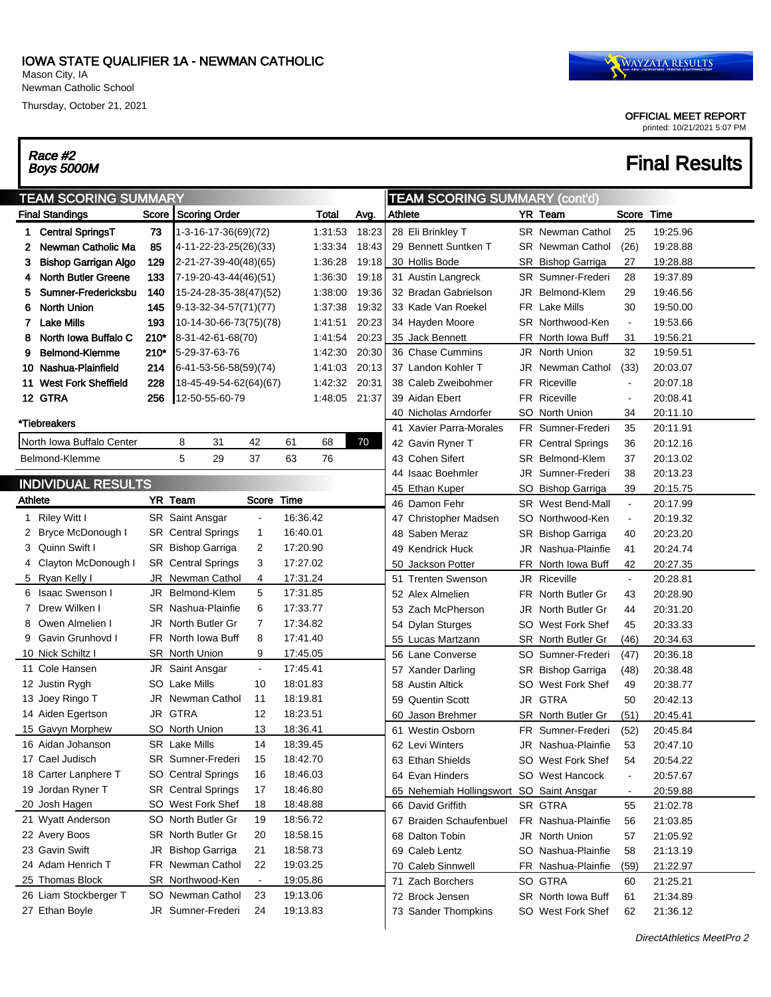#### IOWA STATE QUALIFIER 1A - NEWMAN CATHOLIC

Mason City, IA Newman Catholic School

Thursday, October 21, 2021

# Race #2<br>Boys 5000M

### OFFICIAL MEET REPORT

printed: 10/21/2021 5:07 PM

## **Final Results**

| <b>TEAM SCORING SUMMARY (cont'd)</b><br><b>TEAM SCORING SUMMARY</b> |                             |        |                           |                |          |         |       |         |                                          |     |                           |                |             |
|---------------------------------------------------------------------|-----------------------------|--------|---------------------------|----------------|----------|---------|-------|---------|------------------------------------------|-----|---------------------------|----------------|-------------|
|                                                                     | <b>Final Standings</b>      |        | Score Scoring Order       |                |          | Total   | Avg.  | Athlete |                                          |     | YR Team                   | Score          | <b>Time</b> |
| 1                                                                   | <b>Central SpringsT</b>     | 73     | 1-3-16-17-36(69)(72)      |                |          | 1:31:53 | 18:23 |         | 28 Eli Brinkley T                        |     | <b>SR</b> Newman Cathol   | 25             | 19:25.96    |
| 2                                                                   | Newman Catholic Ma          | 85     | 4-11-22-23-25(26)(33)     |                |          | 1:33:34 | 18:43 |         | 29 Bennett Suntken T                     |     | <b>SR</b> Newman Cathol   | (26)           | 19:28.88    |
| 3                                                                   | <b>Bishop Garrigan Algo</b> | 129    | 2-21-27-39-40(48)(65)     |                |          | 1:36:28 | 19:18 |         | 30 Hollis Bode                           |     | SR Bishop Garriga         | 27             | 19:28.88    |
| 4                                                                   | <b>North Butler Greene</b>  | 133    | 7-19-20-43-44(46)(51)     |                |          | 1:36:30 | 19:18 |         | 31 Austin Langreck                       |     | <b>SR</b> Sumner-Frederi  | 28             | 19:37.89    |
| 5                                                                   | Sumner-Fredericksbu         | 140    | 15-24-28-35-38(47)(52)    |                |          | 1:38:00 | 19:36 |         | 32 Bradan Gabrielson                     |     | JR Belmond-Klem           | 29             | 19:46.56    |
| 6                                                                   | <b>North Union</b>          | 145    | 9-13-32-34-57(71)(77)     |                |          | 1:37:38 | 19:32 |         | 33 Kade Van Roekel                       |     | <b>FR</b> Lake Mills      | 30             | 19:50.00    |
| 7                                                                   | <b>Lake Mills</b>           | 193    | 10-14-30-66-73(75)(78)    |                |          | 1:41:51 | 20:23 |         | 34 Hayden Moore                          |     | SR Northwood-Ken          | $\sim$         | 19:53.66    |
| 8                                                                   | North Iowa Buffalo C        | $210*$ | 8-31-42-61-68(70)         |                |          | 1:41:54 | 20:23 |         | 35 Jack Bennett                          |     | FR North Iowa Buff        | 31             | 19:56.21    |
| 9                                                                   | Belmond-Klemme              | 210*   | 5-29-37-63-76             |                |          | 1:42:30 | 20:30 |         | 36 Chase Cummins                         |     | <b>JR</b> North Union     | 32             | 19:59.51    |
| 10.                                                                 | Nashua-Plainfield           | 214    | 6-41-53-56-58(59)(74)     |                |          | 1:41:03 | 20:13 |         | 37 Landon Kohler T                       |     | JR Newman Cathol          | (33)           | 20:03.07    |
|                                                                     | 11 West Fork Sheffield      | 228    | 18-45-49-54-62(64)(67)    |                |          | 1:42:32 | 20:31 |         | 38 Caleb Zweibohmer                      |     | <b>FR Riceville</b>       | $\blacksquare$ | 20:07.18    |
|                                                                     | 12 GTRA                     | 256    | 12-50-55-60-79            |                |          | 1:48:05 | 21:37 |         | 39 Aidan Ebert                           |     | <b>FR Riceville</b>       | $\blacksquare$ | 20:08.41    |
|                                                                     |                             |        |                           |                |          |         |       |         | 40 Nicholas Arndorfer                    |     | SO North Union            | 34             | 20:11.10    |
|                                                                     | *Tiebreakers                |        |                           |                |          |         |       |         | 41 Xavier Parra-Morales                  |     | FR Sumner-Frederi         | 35             | 20:11.91    |
|                                                                     | North Iowa Buffalo Center   |        | 8<br>31                   | 42             | 61       | 68      | 70    |         | 42 Gavin Ryner T                         |     | <b>FR</b> Central Springs | 36             | 20:12.16    |
|                                                                     | Belmond-Klemme              |        | 5<br>29                   | 37             | 63       | 76      |       |         | 43 Cohen Sifert                          |     | <b>SR</b> Belmond-Klem    | 37             | 20:13.02    |
|                                                                     |                             |        |                           |                |          |         |       |         | 44 Isaac Boehmler                        |     | JR Sumner-Frederi         | 38             | 20:13.23    |
|                                                                     | <b>INDIVIDUAL RESULTS</b>   |        |                           |                |          |         |       |         | 45 Ethan Kuper                           |     | SO Bishop Garriga         | 39             | 20:15.75    |
|                                                                     | Athlete                     |        | <b>YR Team</b>            | Score          | Time     |         |       |         | 46 Damon Fehr                            |     | SR West Bend-Mall         | $\blacksquare$ | 20:17.99    |
|                                                                     | 1 Riley Witt I              |        | SR Saint Ansgar           | $\blacksquare$ | 16:36.42 |         |       |         | 47 Christopher Madsen                    | SO  | Northwood-Ken             | $\blacksquare$ | 20:19.32    |
| 2                                                                   | <b>Bryce McDonough I</b>    |        | <b>SR</b> Central Springs | 1              | 16:40.01 |         |       |         | 48 Saben Meraz                           |     | SR Bishop Garriga         | 40             | 20:23.20    |
| 3                                                                   | Quinn Swift I               |        | SR Bishop Garriga         | 2              | 17:20.90 |         |       |         | 49 Kendrick Huck                         |     | JR Nashua-Plainfie        | 41             | 20:24.74    |
| 4                                                                   | Clayton McDonough I         |        | <b>SR</b> Central Springs | 3              | 17:27.02 |         |       |         | 50 Jackson Potter                        |     | FR North Iowa Buff        | 42             | 20:27.35    |
|                                                                     | 5 Ryan Kelly I              |        | JR Newman Cathol          | 4              | 17:31.24 |         |       |         | 51 Trenten Swenson                       |     | <b>JR Riceville</b>       | $\blacksquare$ | 20:28.81    |
| 6                                                                   | <b>Isaac Swenson I</b>      | JR     | Belmond-Klem              | 5              | 17:31.85 |         |       |         | 52 Alex Almelien                         |     | FR North Butler Gr        | 43             | 20:28.90    |
| 7                                                                   | Drew Wilken I               |        | SR Nashua-Plainfie        | 6              | 17:33.77 |         |       |         | 53 Zach McPherson                        |     | JR North Butler Gr        | 44             | 20:31.20    |
| 8                                                                   | Owen Almelien I             | JR     | North Butler Gr           | 7              | 17:34.82 |         |       |         | 54 Dylan Sturges                         | SO  | West Fork Shef            | 45             | 20:33.33    |
| 9                                                                   | Gavin Grunhovd I            |        | FR North Iowa Buff        | 8              | 17:41.40 |         |       |         | 55 Lucas Martzann                        |     | <b>SR</b> North Butler Gr | (46)           | 20:34.63    |
|                                                                     | 10 Nick Schiltz I           |        | <b>SR</b> North Union     | 9              | 17:45.05 |         |       |         | 56 Lane Converse                         | SO  | Sumner-Frederi            | (47)           | 20:36.18    |
|                                                                     | 11 Cole Hansen              | JR     | Saint Ansgar              | $\blacksquare$ | 17:45.41 |         |       |         | 57 Xander Darling                        |     | SR Bishop Garriga         | (48)           | 20:38.48    |
|                                                                     | 12 Justin Rygh              |        | SO Lake Mills             | 10             | 18:01.83 |         |       |         | 58 Austin Altick                         | SO  | West Fork Shef            | 49             | 20:38.77    |
|                                                                     | 13 Joey Ringo T             | JR     | Newman Cathol             | 11             | 18:19.81 |         |       |         | 59 Quentin Scott                         |     | JR GTRA                   | 50             | 20:42.13    |
|                                                                     | 14 Aiden Egertson           | JR     | <b>GTRA</b>               | 12             | 18:23.51 |         |       |         | 60 Jason Brehmer                         |     | <b>SR</b> North Butler Gr | (51)           | 20:45.41    |
|                                                                     | 15 Gavyn Morphew            | SO.    | North Union               | 13             | 18:36.41 |         |       |         | 61 Westin Osborn                         | FR. | Sumner-Frederi            | (52)           | 20:45.84    |
|                                                                     | 16 Aidan Johanson           |        | <b>SR</b> Lake Mills      | 14             | 18:39.45 |         |       |         | 62 Levi Winters                          |     | JR Nashua-Plainfie        | 53             | 20:47.10    |
|                                                                     | 17 Cael Judisch             |        | SR Sumner-Frederi         | 15             | 18:42.70 |         |       |         | 63 Ethan Shields                         |     | SO West Fork Shef         | 54             | 20:54.22    |
|                                                                     | 18 Carter Lanphere T        |        | SO Central Springs        | 16             | 18:46.03 |         |       |         | 64 Evan Hinders                          |     | SO West Hancock           | $\blacksquare$ | 20:57.67    |
|                                                                     | 19 Jordan Ryner T           |        | <b>SR</b> Central Springs | 17             | 18:46.80 |         |       |         | 65 Nehemiah Hollingswort SO Saint Ansgar |     |                           | $\blacksquare$ | 20:59.88    |
|                                                                     | 20 Josh Hagen               |        | SO West Fork Shef         | 18             | 18:48.88 |         |       |         | 66 David Griffith                        |     | SR GTRA                   | 55             | 21:02.78    |
|                                                                     | 21 Wyatt Anderson           |        | SO North Butler Gr        | 19             | 18:56.72 |         |       |         | 67 Braiden Schaufenbuel                  |     | FR Nashua-Plainfie        | 56             | 21:03.85    |
|                                                                     | 22 Avery Boos               |        | SR North Butler Gr        | 20             | 18:58.15 |         |       |         | 68 Dalton Tobin                          |     | JR North Union            | 57             | 21:05.92    |
|                                                                     | 23 Gavin Swift              |        | JR Bishop Garriga         | 21             | 18:58.73 |         |       |         | 69 Caleb Lentz                           |     | SO Nashua-Plainfie        | 58             | 21:13.19    |
|                                                                     | 24 Adam Henrich T           |        | FR Newman Cathol          | 22             | 19:03.25 |         |       |         | 70 Caleb Sinnwell                        |     | FR Nashua-Plainfie        | (59)           | 21:22.97    |
|                                                                     | 25 Thomas Block             |        | SR Northwood-Ken          | $\blacksquare$ | 19:05.86 |         |       |         | 71 Zach Borchers                         |     | SO GTRA                   | 60             | 21:25.21    |
|                                                                     | 26 Liam Stockberger T       |        | SO Newman Cathol          | 23             | 19:13.06 |         |       |         | 72 Brock Jensen                          |     | SR North Iowa Buff        | 61             | 21:34.89    |
|                                                                     | 27 Ethan Boyle              |        | JR Sumner-Frederi         | 24             | 19:13.83 |         |       |         | 73 Sander Thompkins                      |     | SO West Fork Shef         | 62             | 21:36.12    |
|                                                                     |                             |        |                           |                |          |         |       |         |                                          |     |                           |                |             |